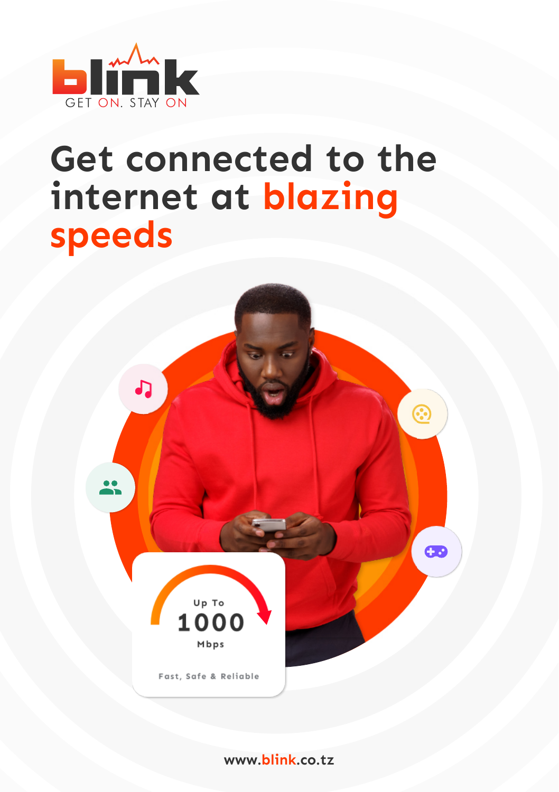

## **Get connected to the internet at blazing speeds**



**www.blink.co.tz**